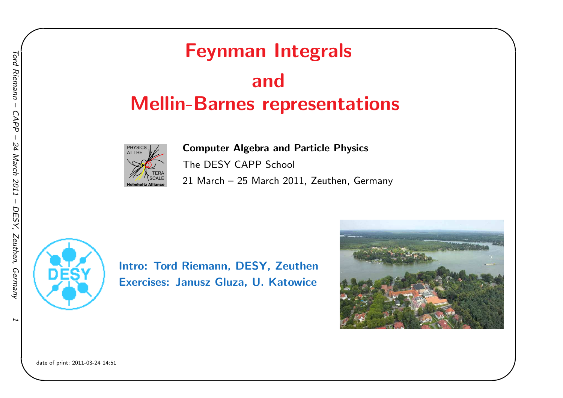# Feynman Integrals andMellin-Barnes representations



Computer Algebra and Particle Physics The DESY CAPP School <sup>21</sup> March – <sup>25</sup> March 2011, Zeuthen, Germany



Intro: Tord Riemann, DESY, ZeuthenExercises: Janusz Gluza, U. Katowice



✬

date of print: 2011-03-24 14:51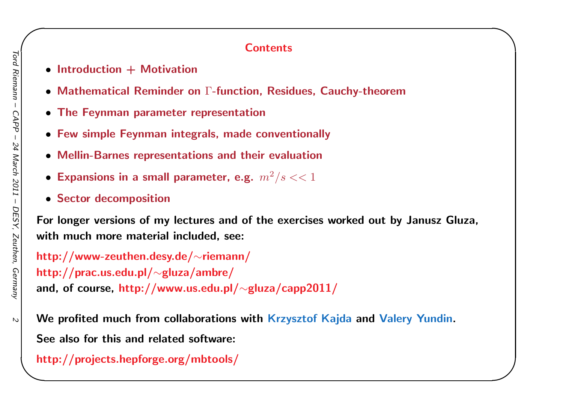#### **Contents**

✬

- Introduction + Motivation
- Mathematical Reminder on  $\Gamma$ -function, Residues, Cauchy-theorem
- The Feynman parameter representation
- Few simple Feynman integrals, made conventionally
- Mellin-Barnes representations and their evaluation
- $\bullet$  Expansions in a small parameter, e.g.  $m^2/s << 1$
- Sector decomposition

For longer versions of my lectures and of the exercises worked out by Janusz Gluza, with much more material included, see:

http://www-zeuthen.desy.de/∼riemann/http://prac.us.edu.pl/∼<sup>g</sup>luza/ambre/and, of course, http://www.us.edu.pl/ $\sim$ gluza/capp $2011/$ 

We profited much from collaborations with Krzysztof Kaj<mark>da</mark> and <mark>Val</mark>ery Yundin. See also for this and related software:

http://projects.hepforge.org/mbtools/

 $\mathcal{L}$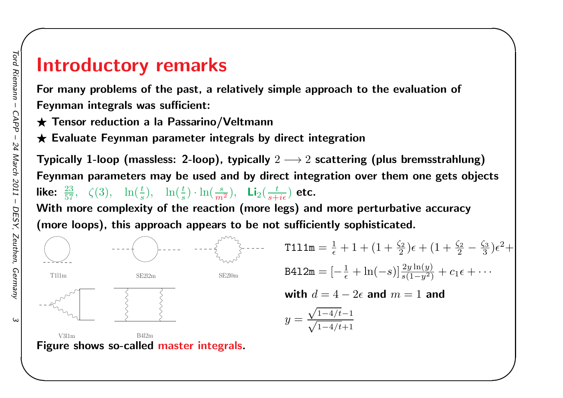# Introductory remarks

For many problems of the past, <sup>a</sup> relatively simple approach to the evaluation of Feynman integrals was sufficient:

**★ Tensor reduction a la Passarino/Veltmann** 

 $\bigstar$  Evaluate Feynman parameter integrals by direct integration

Typically 1-loop (massless: 2-loop), typically  $2\longrightarrow 2$  scattering (plus bremsstrahlung) Feynman parameters may be used and by direct integration over them one gets objects like:  $\frac{23}{57}$ ,  $\zeta(3)$ ,  $\ln(\frac{t}{s})$ ,  $\ln(\frac{t}{s}) \cdot \ln(\frac{s}{m^2})$ ,  $\text{Li}_2(\frac{t}{s+i\epsilon})$  etc.

✬

 With more complexity of the reaction (more legs) and more perturbative accuracy (more loops), this approach appears to be not sufficiently sophisticated.



 $\omega$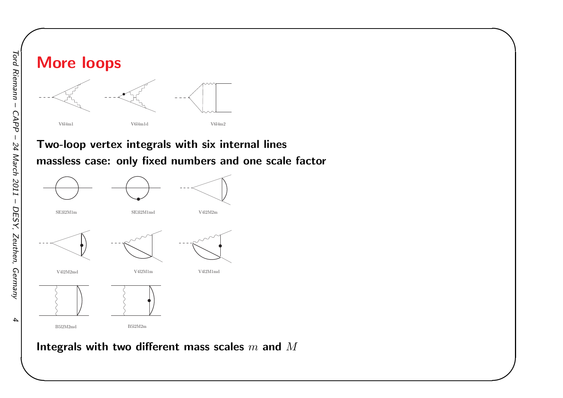![](_page_3_Figure_0.jpeg)

#### Two-loop vertex integrals with six internal lines massless case: only fixed numbers and one scale factor

✬

![](_page_3_Figure_2.jpeg)

# Integrals with two different mass scales  $m$  and  $M$

 $\boldsymbol{4}$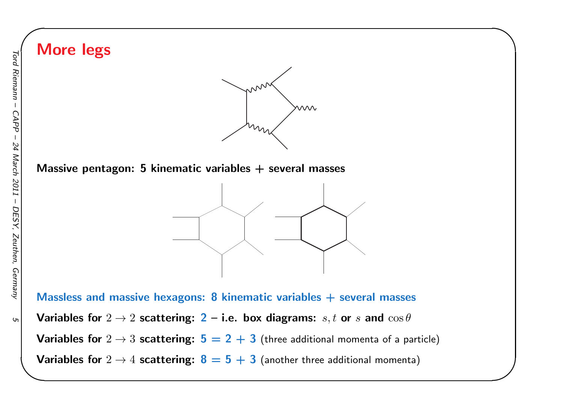![](_page_4_Figure_0.jpeg)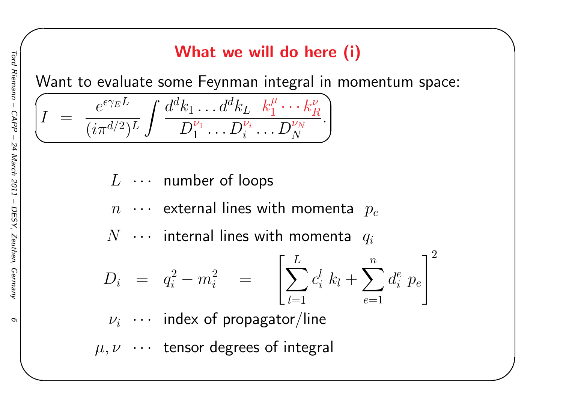# What we will do here (i)

✬

Want to evaluate some Feynman integral in momentum space:

$$
\boxed{I ~=~ \frac{e^{\epsilon \gamma_E L}}{(i\pi^{d/2})^L} \int \frac{d^dk_1 \dots d^dk_L ~~k_1^\mu \dots k_R^\nu}{D_1^{\nu_1} \dots D_i^{\nu_i} \dots D_N^{\nu_N}}}.
$$

- $L$   $\cdots$  number of loops
- $n$   $\cdots$  external lines with momenta  $p_e\,$

 $N$   $\cdots$  internal lines with momenta  $q_i$ 

$$
D_i = q_i^2 - m_i^2 = \left[ \sum_{l=1}^L c_i^l k_l + \sum_{e=1}^n d_i^e p_e \right]^2
$$

- $\nu_i$   $\;\cdots\;$  index of propagator/line
- $\mu, \nu \cdots$  tensor degrees of integral

 $\sigma$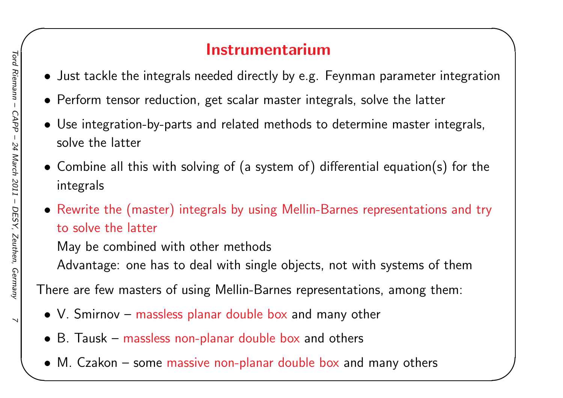## Instrumentarium

✬

- Just tackle the integrals needed directly by e.g. Feynman parameter integration
- Perform tensor reduction, get scalar master integrals, solve the latter
- Use integration-by-parts and related methods to determine master integrals, solve the latter
- $\bullet$  Combine all this with solving of (a system of) differential equation(s) for the integrals
- Rewrite the (master) integrals by using Mellin-Barnes representations and try to solve the latter

May be combined with other methods

Advantage: one has to deal with single objects, not with systems of them

There are few masters of using Mellin-Barnes representations, among them:

- V. Smirnov massless planar double box and many other
- B. Tausk massless non-planar double box and others
- M. Czakon some massive non-planar double box and many others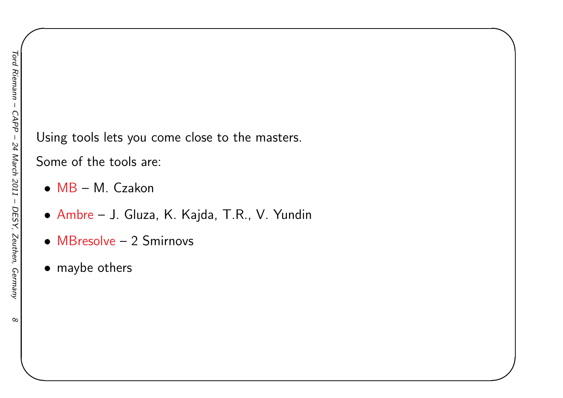Using tools lets you come close to the masters.

✬

Some of the tools are:

- MB M. Czakon
- Ambre J. Gluza, K. Kajda, T.R., V. Yundin
- MBresolve <sup>2</sup> Smirnovs
- maybe others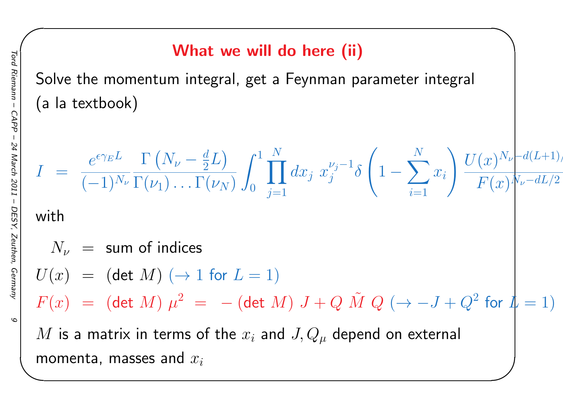# What we will do here (ii)

✬

Solve the momentum integral, get <sup>a</sup> Feynman parameter integral (a la textbook)

$$
I = \frac{e^{\epsilon \gamma_E L}}{(-1)^{N_{\nu}}} \frac{\Gamma(N_{\nu} - \frac{d}{2}L)}{\Gamma(\nu_1) \dots \Gamma(\nu_N)} \int_0^1 \prod_{j=1}^N dx_j \ x_j^{\nu_j - 1} \delta \left(1 - \sum_{i=1}^N x_i\right) \frac{U(x)^{N_{\nu}} - d(L+1)}{F(x)^{N_{\nu} - dL/2}}
$$
  
\nwith  
\n
$$
N_{\nu} = \text{sum of indices}
$$
  
\n
$$
U(x) = (\det M) (\rightarrow 1 \text{ for } L = 1)
$$
  
\n
$$
F(x) = (\det M) \mu^2 = -(\det M) J + Q \tilde{M} Q (\rightarrow -J + Q^2 \text{ for } L = 1)
$$
  
\n*M* is a matrix in terms of the  $x_i$  and  $J, Q_{\mu}$  depend on external  
\nmomenta, masses and  $x_i$ 

 $\mathcal{Q}$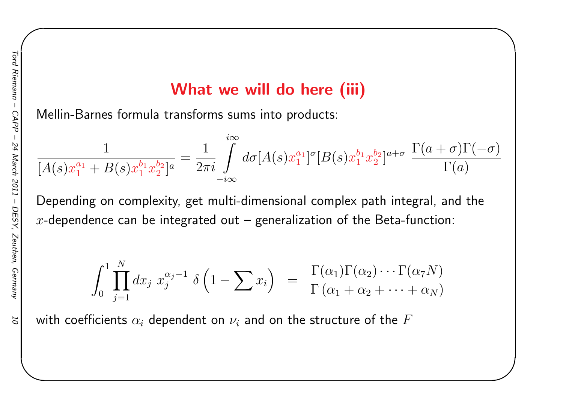### What we will do here *(iii)*

✬

Mellin-Barnes formula transforms sums into products:

$$
\frac{1}{[A(s)x_1^{a_1} + B(s)x_1^{b_1}x_2^{b_2}]^a} = \frac{1}{2\pi i} \int\limits_{-i\infty}^{i\infty} d\sigma [A(s)x_1^{a_1}]^{\sigma} [B(s)x_1^{b_1}x_2^{b_2}]^{a+\sigma} \frac{\Gamma(a+\sigma)\Gamma(-\sigma)}{\Gamma(a)}
$$

Depending on complexity, get multi-dimensional complex path integral, and the x-dependence can be integrated out  $-$  generalization of the Beta-function:

$$
\int_0^1 \prod_{j=1}^N dx_j x_j^{\alpha_j-1} \delta\left(1-\sum x_i\right) = \frac{\Gamma(\alpha_1)\Gamma(\alpha_2)\cdots\Gamma(\alpha_7 N)}{\Gamma(\alpha_1+\alpha_2+\cdots+\alpha_N)}
$$

with coefficients  $\alpha_i$  dependent on  $\nu_i$  and on the structure of the  $F$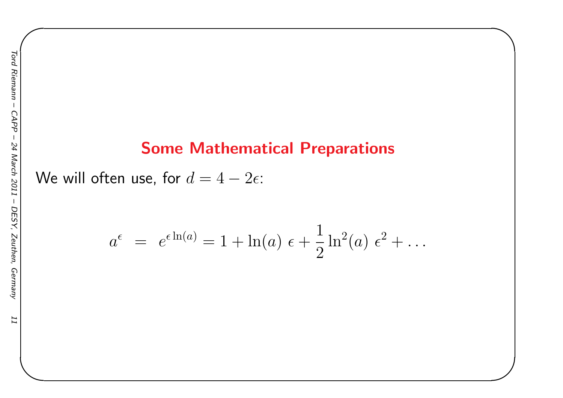II

### Some Mathematical Preparations

✬

We will often use, for  $d=4$  $- \, 2 \epsilon$ :

$$
a^{\epsilon} = e^{\epsilon \ln(a)} = 1 + \ln(a) \epsilon + \frac{1}{2} \ln^{2}(a) \epsilon^{2} + \dots
$$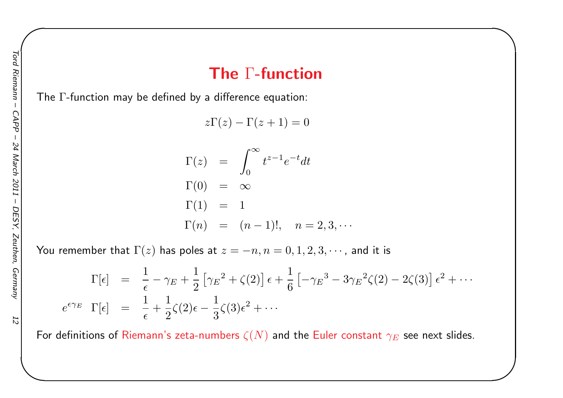### The  $\Gamma\text{-}\mathsf{function}$

✬

The  $\Gamma$ -function may be defined by a difference equation:

 $z\Gamma(z) - \Gamma(z+1) = 0$ 

$$
\Gamma(z) = \int_0^\infty t^{z-1} e^{-t} dt
$$
  
\n
$$
\Gamma(0) = \infty
$$
  
\n
$$
\Gamma(1) = 1
$$
  
\n
$$
\Gamma(n) = (n-1)!, \quad n = 2, 3, \cdots
$$

You remember that  $\Gamma(z)$  has poles at  $z=-n, n=0,1,2,3,\cdots$ , and it is

$$
\Gamma[\epsilon] = \frac{1}{\epsilon} - \gamma_E + \frac{1}{2} \left[ \gamma_E^2 + \zeta(2) \right] \epsilon + \frac{1}{6} \left[ -\gamma_E^3 - 3\gamma_E^2 \zeta(2) - 2\zeta(3) \right] \epsilon^2 + \cdots
$$
  

$$
e^{\epsilon \gamma_E} \Gamma[\epsilon] = \frac{1}{\epsilon} + \frac{1}{2} \zeta(2) \epsilon - \frac{1}{3} \zeta(3) \epsilon^2 + \cdots
$$

For definitions of Riemann's zeta-numbers  $\zeta(N)$  and the Euler constant  $\gamma_E$  see next slides.

 $\overline{z}$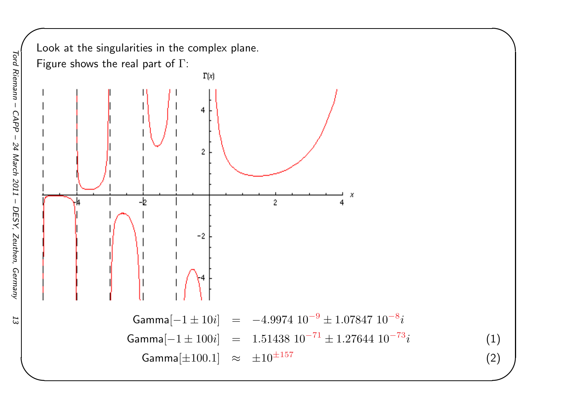![](_page_12_Figure_0.jpeg)

 $53$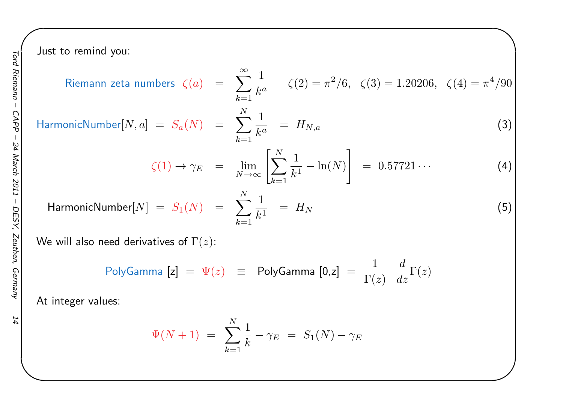Just to remind you:

to remind you:  
\nRiemann zeta numbers 
$$
\zeta(a) = \sum_{k=1}^{\infty} \frac{1}{k^a}
$$
  $\zeta(2) = \pi^2/6$ ,  $\zeta(3) = 1.20206$ ,  $\zeta(4) = \pi^4/90$ 

HarmonicNumber[N, a] = 
$$
S_a(N)
$$
 =  $\sum_{k=1}^{N} \frac{1}{k^a}$  =  $H_{N,a}$  (3)

$$
\zeta(1) \to \gamma_E = \lim_{N \to \infty} \left[ \sum_{k=1}^N \frac{1}{k^1} - \ln(N) \right] = 0.57721 \cdots
$$
 (4)

 $\mathsf{HarmonicNumber}[N] \;=\; S_1(N) \;\;=\;\;$ 

$$
= \sum_{k=1}^{N} \frac{1}{k^1} = H_N \tag{5}
$$

We will also need derivatives of  $\Gamma(z)$ :

$$
\text{PolyGamma} \begin{bmatrix} \mathsf{z} \end{bmatrix} \; = \; \Psi(z) \;\; \equiv \;\; \text{PolyGamma} \begin{bmatrix} 0, \mathsf{z} \end{bmatrix} \; = \; \frac{1}{\Gamma(z)} \;\; \frac{d}{dz} \Gamma(z)
$$

At integer values:

$$
\Psi(N+1) = \sum_{k=1}^{N} \frac{1}{k} - \gamma_E = S_1(N) - \gamma_E
$$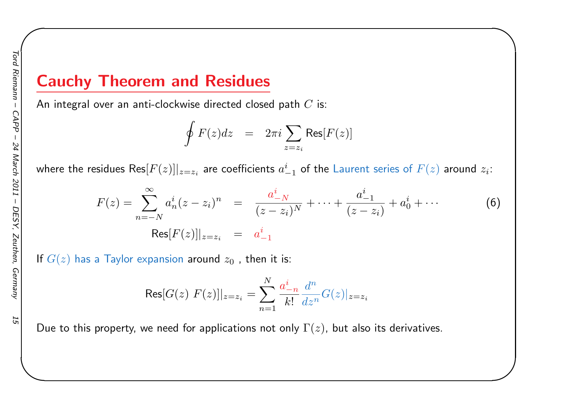### Cauchy Theorem and Residues

An integral over an anti-clockwise directed closed path  $C$  is:

$$
\oint F(z)dz = 2\pi i \sum_{z=z_i} \text{Res}[F(z)]
$$

where the residues  $\mathsf{Res}[F(z)]|_{z=z_i}$  are coefficients  $a_{-1}^i$  of the Laurent series of  $F(z)$  around  $z_i$ :

$$
F(z) = \sum_{n=-N}^{\infty} a_n^i (z - z_i)^n = \frac{a_{-N}^i}{(z - z_i)^N} + \dots + \frac{a_{-1}^i}{(z - z_i)} + a_0^i + \dots
$$
(6)  

$$
Res[F(z)]|_{z=z_i} = a_{-1}^i
$$

✬

If  $G(z)$  has a Taylor expansion around  $z_{\mathbf{0}}$  , then it is:

$$
\text{Res}[G(z) \ F(z)]|_{z=z_i} = \sum_{n=1}^{N} \frac{a_{-n}^i}{k!} \frac{d^n}{dz^n} G(z)|_{z=z_i}
$$

Due to this property, we need for applications not only  $\Gamma(z)$ , but also its derivatives.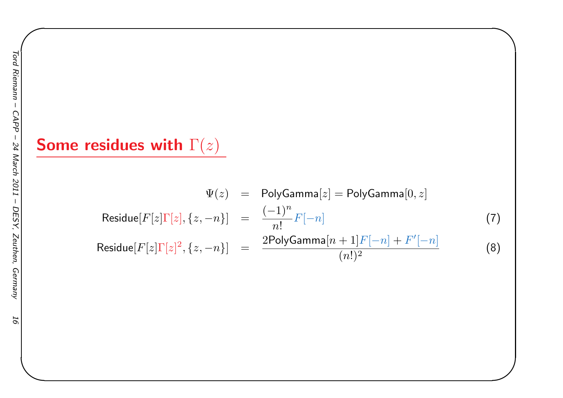# Some residues with  $\Gamma(z)$

$$
\Psi(z) = \text{PolyGamma}[z] = \text{PolyGamma}[0, z]
$$
  
\n
$$
\text{Residue}[F[z]\Gamma[z], \{z, -n\}] = \frac{(-1)^n}{n!} F[-n]
$$
  
\n
$$
\text{Residue}[F[z]\Gamma[z]^2, \{z, -n\}] = \frac{2\text{PolyGamma}[n+1]F[-n] + F'[-n]}{(n!)^2}
$$
  
\n(8)

 $(n!)^2$ 

✬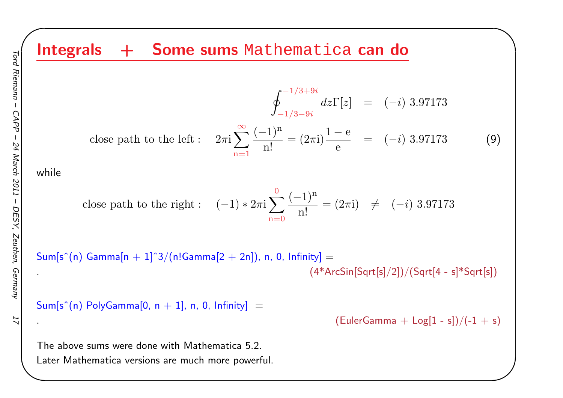Integrals + Some sums Mathematica can do  $\oint_{-1/3-9i}^{-1/3+9i}$  $-1/3$  $-9i$  $dz\Gamma[z] = (-$ − $-i)$  3.97173 close path to the left  $\colon$  $\pi i \sum_{n=1}^{\infty} \frac{(-1)}{n!}$ n=1n $\frac{1}{n!} = (2\pi i)$ 1e $\frac{c}{e}$  = (-−i) 3.97173 (9) close path to the right :  $(-1)$ ∗2 $\pi$ i $\sum^0$  $\mathrm{n}{=}0$  $(-1)$ n $\frac{1}{n!} = (2\pi i) \neq ( -i)$  3.97173  $\mathsf{Sum}[\mathsf{s}^\smallfrown(\mathsf{n})\,$  Gamma $[\mathsf{n}+1]^\smallfrown 3/(\mathsf{n}!\mathsf{Gamma}[2+2\mathsf{n}]),\, \mathsf{n},\, \mathsf{0},\, \mathsf{Infinity}] =$ .  $(4*ArcSin[Sqrt[s]/2])/(Sqrt[4 - s]*Sqrt[s])$  $\mathsf{Sum}[\mathsf{s}^\smallfrown(\mathsf{n})\; \mathsf{PolyGamma}[\mathsf{0},\, \mathsf{n+1}],\, \mathsf{n},\, \mathsf{0},\, \mathsf{Infinity}] \;=\;$  $(EulerGamma + Log[1 - s])/(-1 + s)$ 

 $\begin{matrix} \hline \end{matrix}$ 

The above sums were done with Mathematica 5.2. Later Mathematica versions are much more powerful.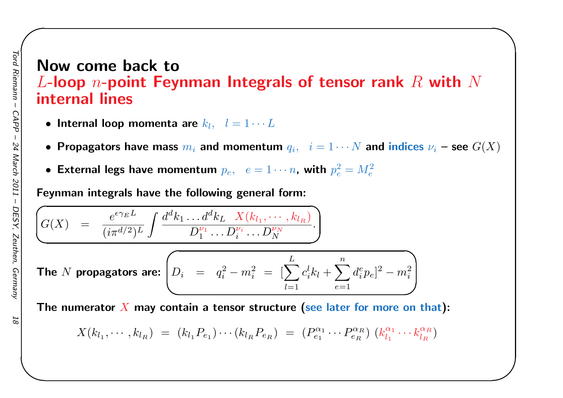## Now come back to $L$ -loop  $n$ -point Feynman Integrals of tensor rank  $R$  with  $N$ <br>internal lines internal lines

✬

- $\bullet$  Internal loop momenta are  $k_l, \;\; l=1 \cdots L$
- Propagators have mass  $m_i$  and momentum  $q_i, \;\; i=1 \cdots N$  and indices  $\nu_i$  see  $G(X)$
- External legs have momentum  $p_e, e = 1 \cdots n$ , with  $p_e^2 = M_e^2$

Feynman integrals have the following genera<sup>l</sup> form:

$$
\left(G(X) = \frac{e^{\epsilon \gamma_E L}}{(i\pi^{d/2})^L} \int \frac{d^d k_1 \dots d^d k_L}{D_1^{\nu_1} \dots D_i^{\nu_i} \dots D_N^{\nu_N}}\right)
$$

The *N* propagators are: 
$$
\left(D_i = q_i^2 - m_i^2 = \left[\sum_{l=1}^{L} c_i^l k_l + \sum_{e=1}^{n} d_i^e p_e\right]^2 - m_i^2\right)
$$

The numerator  $X$  may contain a tensor structure (see later for more on that):

$$
X(k_{l_1},\cdots,k_{l_R}) = (k_{l_1}P_{e_1})\cdots(k_{l_R}P_{e_R}) = (P_{e_1}^{\alpha_1}\cdots P_{e_R}^{\alpha_R}) (k_{l_1}^{\alpha_1}\cdots k_{l_R}^{\alpha_R})
$$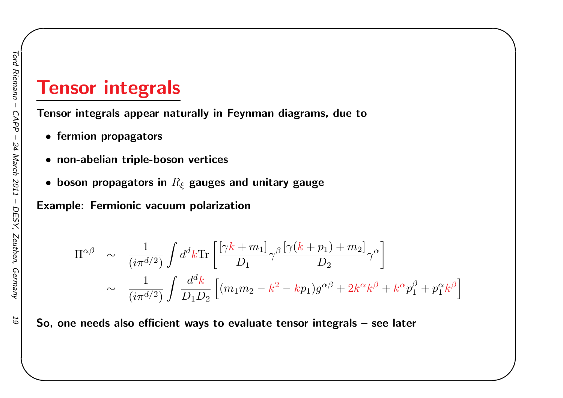# Tensor integrals

Tensor integrals appear naturally in Feynman diagrams, due <sup>t</sup> o

- fermion propagators
- non-abelian triple-boson vertices
- $\bullet\,$  boson propagators in  $R_\xi$  gauges and unitary gauge

Example: Fermionic vacuum polarization

$$
\Pi^{\alpha\beta} \sim \frac{1}{(i\pi^{d/2})} \int d^d k \text{Tr} \left[ \frac{\left[\gamma k + m_1\right]}{D_1} \gamma^\beta \frac{\left[\gamma (k + p_1) + m_2\right]}{D_2} \gamma^\alpha \right] \times \frac{1}{(i\pi^{d/2})} \int \frac{d^d k}{D_1 D_2} \left[ (m_1 m_2 - k^2 - k p_1) g^{\alpha\beta} + 2k^\alpha k^\beta + k^\alpha p_1^\beta + p_1^\alpha k^\beta \right]
$$

✬

So, one needs also efficient ways to evaluate tensor integrals – see later

 $\overline{6}$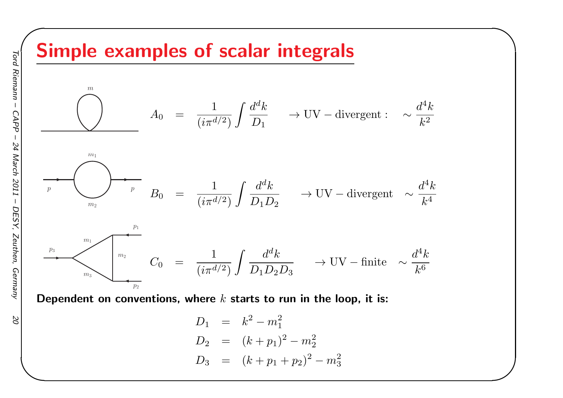# Simple examples of scalar integrals

![](_page_19_Figure_1.jpeg)

✬

Dependent on conventions, where  $k$  starts to run in the loop, it is:

$$
D_1 = k^2 - m_1^2
$$
  
\n
$$
D_2 = (k + p_1)^2 - m_2^2
$$
  
\n
$$
D_3 = (k + p_1 + p_2)^2 - m_3^2
$$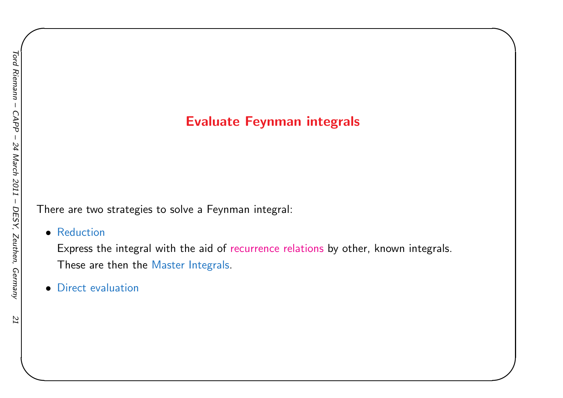#### Evaluate Feynman integrals

✬

There are two strategies to solve <sup>a</sup> Feynman integral:

• Reduction

 Express the integral with the aid of recurrence relations by other, known integrals. These are then the Master Integrals.

• Direct evaluation

 $IZ$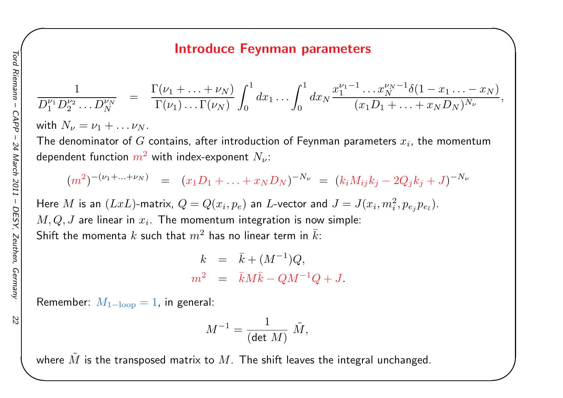#### Introduce Feynman parameters

✬

$$
\frac{1}{D_1^{\nu_1}D_2^{\nu_2}\ldots D_N^{\nu_N}} = \frac{\Gamma(\nu_1 + \ldots + \nu_N)}{\Gamma(\nu_1)\ldots\Gamma(\nu_N)} \int_0^1 dx_1 \ldots \int_0^1 dx_N \frac{x_1^{\nu_1 - 1}\ldots x_N^{\nu_N - 1} \delta(1 - x_1 \ldots - x_N)}{(x_1 D_1 + \ldots + x_N D_N)^{N_{\nu}}},
$$

with  $N_\nu = \nu_1 + \ldots \nu_N$ 

**Contract Contract Contract** The denominator of  $G$  $G$  contains, after introduction of Feynman parameters  $x_i$ , the momentum dependent function  $m^2$  with index-exponent  $N_\nu$ :

$$
(m^2)^{-(\nu_1 + \ldots + \nu_N)} = (x_1 D_1 + \ldots + x_N D_N)^{-N_{\nu}} = (k_i M_{ij} k_j - 2Q_j k_j + J)^{-N_{\nu}}
$$

Here  $M$  is an  $(LxL)$ -matrix,  $Q = Q(x_i, p_e)$  an  $L$ -vector and  $J = J(x_i, m_i^2, p_{e_j} p_{e_l})$ .  $M,Q,J$  are linear in  $x_i$ . The momentum integration is now simple: Shift the momenta  $k$  such that  $m^2$  has no linear term in  $\bar{k}$ :

$$
k = \bar{k} + (M^{-1})Q,
$$
  

$$
m^2 = \bar{k}M\bar{k} - QM^{-1}Q + J.
$$

 ${\sf Remember}\: \ M_{\rm 1-loop}=1,$  in general:

$$
M^{-1} = \frac{1}{(\det\,M)}\,\,\tilde M,
$$

where  $\tilde{M}$  is the transposed matrix to  $M.$  The shift leaves the integral unchanged.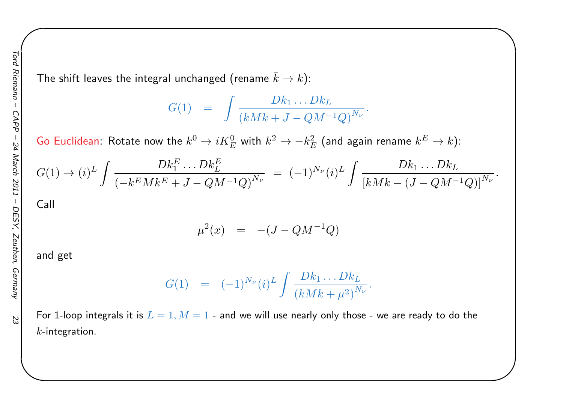The shift leaves the integral unchanged (rename  $\bar{k} \rightarrow k$ ):

$$
G(1) = \int \frac{Dk_1 \dots Dk_L}{(kMk + J - QM^{-1}Q)^{N_{\nu}}}
$$

✬

Go Euclidean: Rotate now the  $k^0\rightarrow iK^0_E$  with  $k^2\rightarrow -k^2_B$  $k \over E$  with  $k^2 \rightarrow -k_E^2$  $\frac{2}{E}$  (and again rename  $k^E$  $^{E}\rightarrow k)$ :

$$
G(1) \to (i)^L \int \frac{Dk_1^E \dots Dk_L^E}{\left(-k^E M k^E + J - Q M^{-1} Q\right)^{N_{\nu}}} = (-1)^{N_{\nu}} (i)^L \int \frac{Dk_1 \dots Dk_L}{\left[k M k - (J - Q M^{-1} Q)\right]^{N_{\nu}}}.
$$

Call

$$
\mu^2(x) = -(J - QM^{-1}Q)
$$

and get

$$
G(1) = (-1)^{N_{\nu}} (i)^{L} \int \frac{Dk_{1} \dots Dk_{L}}{(kMk + \mu^{2})^{N_{\nu}}}.
$$

For 1-loop integrals it is  $L=1,M=1$  - and we will use nearly only those - we are ready to do the<br>, .  $k$ -integration.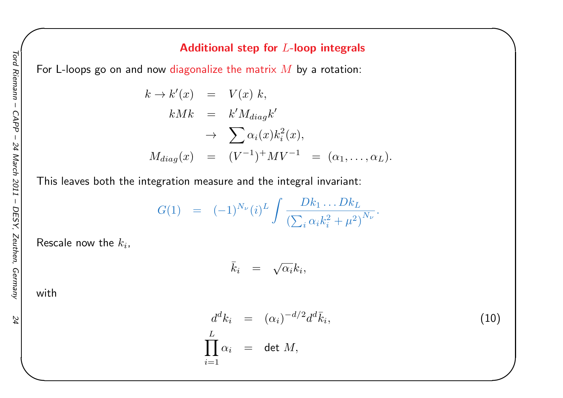24

#### Additional step for  $L\textrm{-}$ loop integrals

For L-loops go on and now <mark>d</mark>iagonalize the matrix  $M$  by a rotation:

$$
k \to k'(x) = V(x) k,
$$
  
\n
$$
kMk = k'M_{diag}k'
$$
  
\n
$$
\to \sum \alpha_i(x)k_i^2(x),
$$
  
\n
$$
M_{diag}(x) = (V^{-1})^+ MV^{-1} = (\alpha_1, ..., \alpha_L).
$$

This leaves both the integration measure and the integral invariant:

$$
G(1) = (-1)^{N_{\nu}} (i)^{L} \int \frac{Dk_{1} \dots Dk_{L}}{\left(\sum_{i} \alpha_{i} k_{i}^{2} + \mu^{2}\right)^{N_{\nu}}}.
$$

Rescale now the  $k_i$ ,

$$
k_i = \sqrt{\alpha_i} k_i,
$$

with

$$
d^{d}k_{i} = (\alpha_{i})^{-d/2} d^{d}\bar{k}_{i},
$$
  
\n
$$
\prod_{i=1}^{L} \alpha_{i} = \det M,
$$
\n(10)

✬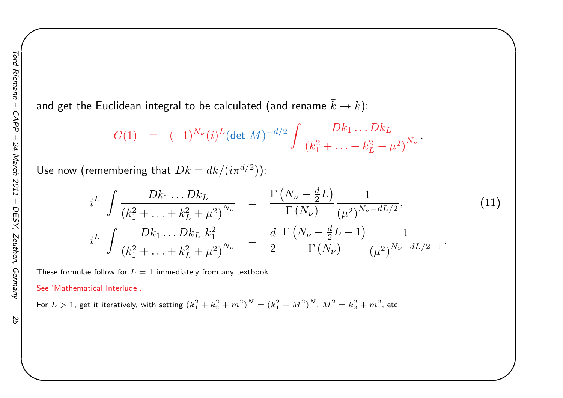and get the Euclidean integral to be calculated (and rename  $\bar{k} \rightarrow k$ ):

$$
G(1) = (-1)^{N_{\nu}} (i)^{L} (\det M)^{-d/2} \int \frac{Dk_1 \dots Dk_L}{(k_1^2 + \dots + k_L^2 + \mu^2)^{N_{\nu}}}.
$$

Use now (remembering that  $Dk=$  $= dk/(i\pi^{d/2})$ :

$$
i^{L} \int \frac{Dk_{1} \dots Dk_{L}}{(k_{1}^{2} + \dots + k_{L}^{2} + \mu^{2})^{N_{\nu}}} = \frac{\Gamma\left(N_{\nu} - \frac{d}{2}L\right)}{\Gamma\left(N_{\nu}\right)} \frac{1}{(\mu^{2})^{N_{\nu} - dL/2}},
$$
\n
$$
i^{L} \int \frac{Dk_{1} \dots Dk_{L} k_{1}^{2}}{(k_{1}^{2} + \dots + k_{L}^{2} + \mu^{2})^{N_{\nu}}} = \frac{d}{2} \frac{\Gamma\left(N_{\nu} - \frac{d}{2}L - 1\right)}{\Gamma\left(N_{\nu}\right)} \frac{1}{(\mu^{2})^{N_{\nu} - dL/2 - 1}}.
$$
\n(11)

✬

These formulae follow for  $L=1$  immediately from any textbook.

See 'Mathematical Interlude'.

For  $L > 1$ , get it iteratively, with setting  $(k_1^2 + k_2^2 + m^2)$  $N = (k_1^2 + M^2)$  $N, M^2 = k_2^2 + m^2$ , etc.

 $55$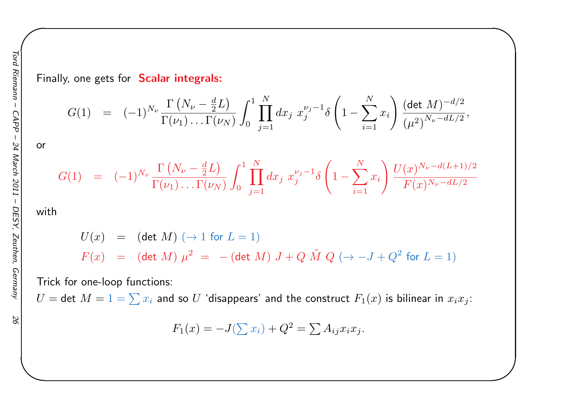Finally, one gets for Scalar integrals:

$$
G(1) = (-1)^{N_{\nu}} \frac{\Gamma(N_{\nu} - \frac{d}{2}L)}{\Gamma(\nu_1) \dots \Gamma(\nu_N)} \int_0^1 \prod_{j=1}^N dx_j \ x_j^{\nu_j - 1} \delta\left(1 - \sum_{i=1}^N x_i\right) \frac{(\det M)^{-d/2}}{(\mu^2)^{N_{\nu} - dL/2}},
$$

✬

or

$$
G(1) = (-1)^{N_{\nu}} \frac{\Gamma(N_{\nu} - \frac{d}{2}L)}{\Gamma(\nu_1) \dots \Gamma(\nu_N)} \int_0^1 \prod_{j=1}^N dx_j \ x_j^{\nu_j - 1} \delta\left(1 - \sum_{i=1}^N x_i\right) \frac{U(x)^{N_{\nu} - d(L+1)/2}}{F(x)^{N_{\nu} - dL/2}}
$$

with

$$
U(x) = (\det M) (\to 1 \text{ for } L = 1)
$$
  

$$
F(x) = (\det M) \mu^{2} = -(\det M) J + Q \tilde{M} Q (\to -J + Q^{2} \text{ for } L = 1)
$$

Trick for one-loop functions:

 $U=$  det  $M=1=\sum x_i$  and so  $U$  'disappears' and the construct  $F_1(x)$  is bilinear in  $x_ix_j$ :

$$
F_1(x) = -J(\sum x_i) + Q^2 = \sum A_{ij} x_i x_j.
$$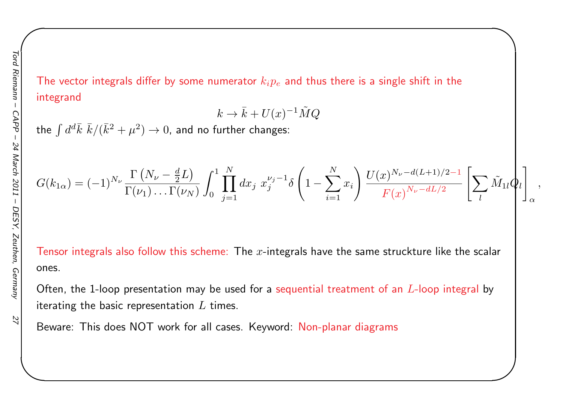The vector integrals differ by some numerator  $k_i p_e$  and thus there is a single shift in the integrand

$$
k\to \bar k + U(x)^{-1} \tilde M Q
$$

the  $\int d^d\bar{k}\,\,\bar{k}/(\bar{k}^2+\mu^2)\to 0$ , and no further  $\epsilon$  $\bar{k}\,\,\bar{k}/(\bar{k}^2+\mu^2)\rightarrow 0$ , and no further changes:

$$
G(k_{1\alpha}) = (-1)^{N_{\nu}} \frac{\Gamma(N_{\nu} - \frac{d}{2}L)}{\Gamma(\nu_1) \dots \Gamma(\nu_N)} \int_0^1 \prod_{j=1}^N dx_j \ x_j^{\nu_j - 1} \delta\left(1 - \sum_{i=1}^N x_i\right) \frac{U(x)^{N_{\nu} - d(L+1)/2 - 1}}{F(x)^{N_{\nu} - dL/2}} \left[\sum_l \tilde{M}_{1l} \phi_l\right]_{\alpha},
$$

✬

Tensor integrals also follow this scheme: The  $x$ -integrals have the same struckture like the scalar ones.

Often, the 1-loop presentation may be used for a <mark>sequential treatment of an  $L$ -loop int</mark>egral by iterating the basic representation  $L$  times.

Beware: This does NOT work for all cases. Keyword: Non-planar diagrams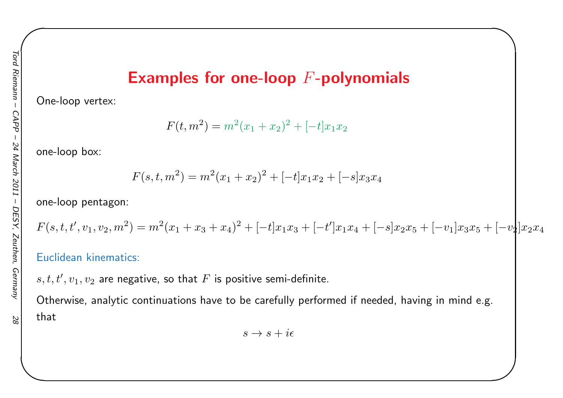# Examples for one-loop  $F\text{-}\mathbf{polynomials}$

✬

One-loop vertex:

$$
F(t, m2) = m2(x1 + x2)2 + [-t]x1x2
$$

one-loop box:

$$
F(s, t, m^2) = m^2(x_1 + x_2)^2 + [-t]x_1x_2 + [-s]x_3x_4
$$

one-loop pentagon:

$$
F(s,t,t',v_1,v_2,m^2) = m^2(x_1+x_3+x_4)^2 + [-t]x_1x_3 + [-t']x_1x_4 + [-s]x_2x_5 + [-v_1]x_3x_5 + [-v_2]x_2x_4
$$

#### Euclidean kinematics:

 $s,t,t',v_1,v_2$  are negative, so that  $F$  is positive semi-definite.

Otherwise, analytic continuations have to be carefully performed if needed, having in mind e.g. that

$$
s \to s + i\epsilon
$$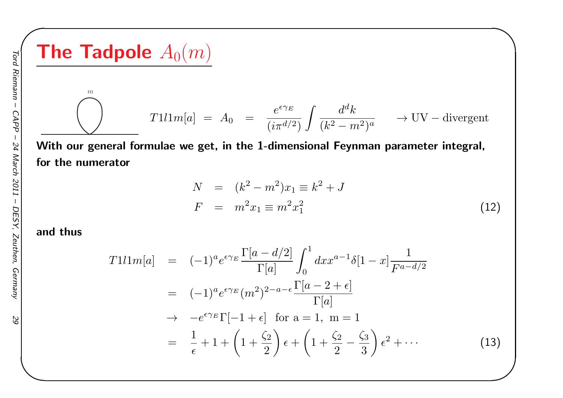**The Tadpole** 
$$
A_0(m)
$$
  
\n
$$
T111m[a] = A_0 = \frac{e^{\epsilon \gamma_E}}{(i\pi^{d/2})} \int \frac{d^d k}{(k^2 - m^2)^a} \longrightarrow UV-divergent
$$

 With our genera<sup>l</sup> formulae we get, in the 1-dimensional Feynman parameter integral, for the numerator

$$
N = (k^{2} - m^{2})x_{1} \equiv k^{2} + J
$$
  
\n
$$
F = m^{2}x_{1} \equiv m^{2}x_{1}^{2}
$$
\n(12)

✬

#### and thus

$$
T1l1m[a] = (-1)^{a}e^{\epsilon\gamma_{E}}\frac{\Gamma[a-d/2]}{\Gamma[a]} \int_{0}^{1} dx x^{a-1}\delta[1-x] \frac{1}{F^{a-d/2}}
$$
  

$$
= (-1)^{a}e^{\epsilon\gamma_{E}}(m^{2})^{2-a-\epsilon}\frac{\Gamma[a-2+\epsilon]}{\Gamma[a]}
$$
  

$$
\rightarrow -e^{\epsilon\gamma_{E}}\Gamma[-1+\epsilon] \text{ for a = 1, m = 1}
$$
  

$$
= \frac{1}{\epsilon} + 1 + \left(1 + \frac{\zeta_{2}}{2}\right)\epsilon + \left(1 + \frac{\zeta_{2}}{2} - \frac{\zeta_{3}}{3}\right)\epsilon^{2} + \cdots
$$
 (13)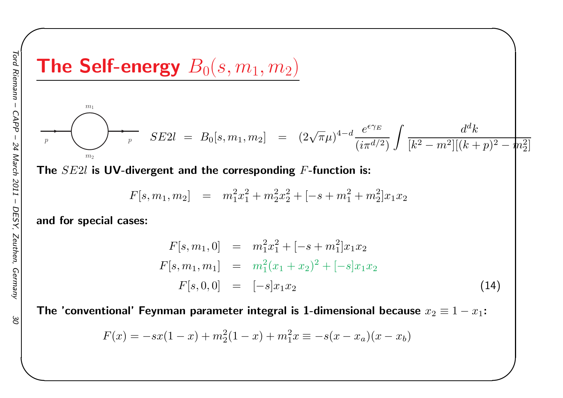#### The Self-energy  $B_0$  $(s, m_1, m_2)$

$$
\sum_{p} P_{\text{max}} \sum_{m_2} SE2l = B_0[s, m_1, m_2] = (2\sqrt{\pi}\mu)^{4-d} \frac{e^{\epsilon \gamma_E}}{(i\pi^{d/2})} \int \frac{d^d k}{[k^2 - m^2][(k+p)^2 - m_2^2]}
$$

The  $SE2l$  is  $\mathsf{\textbf{UV}}\text{-}\mathsf{divergent}$  and the corresponding  $F\text{-}\mathsf{function}$  is:

$$
F[s, m_1, m_2] = m_1^2 x_1^2 + m_2^2 x_2^2 + [-s + m_1^2 + m_2^2] x_1 x_2
$$

and for special cases:

 $m<sub>1</sub>$ 

$$
F[s, m_1, 0] = m_1^2 x_1^2 + [-s + m_1^2] x_1 x_2
$$
  
\n
$$
F[s, m_1, m_1] = m_1^2 (x_1 + x_2)^2 + [-s] x_1 x_2
$$
  
\n
$$
F[s, 0, 0] = [-s] x_1 x_2
$$
\n(14)

✬

The 'conventional' Feynman parameter integral is 1-dimensional because  $x_2\equiv1-x_1$ :

$$
F(x) = -sx(1-x) + m_2^2(1-x) + m_1^2x \equiv -s(x-x_a)(x-x_b)
$$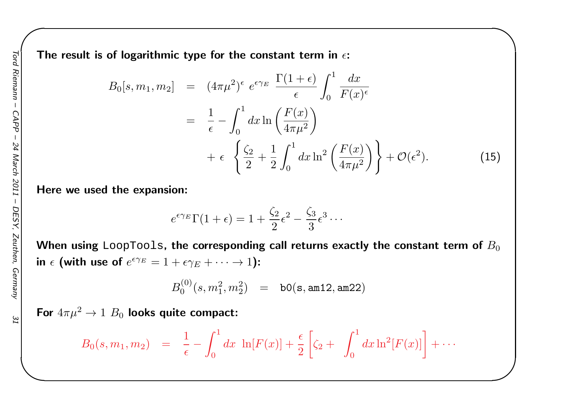The result is of logarithmic type for the constant term in  $\epsilon$ :

$$
B_0[s, m_1, m_2] = (4\pi\mu^2)^{\epsilon} e^{\epsilon \gamma_E} \frac{\Gamma(1+\epsilon)}{\epsilon} \int_0^1 \frac{dx}{F(x)^{\epsilon}}
$$
  

$$
= \frac{1}{\epsilon} - \int_0^1 dx \ln\left(\frac{F(x)}{4\pi\mu^2}\right)
$$
  

$$
+ \epsilon \left\{\frac{\zeta_2}{2} + \frac{1}{2} \int_0^1 dx \ln^2\left(\frac{F(x)}{4\pi\mu^2}\right) \right\} + \mathcal{O}(\epsilon^2).
$$
 (15)

✬

Here we used the expansion:

$$
e^{\epsilon \gamma_E} \Gamma(1+\epsilon) = 1 + \frac{\zeta_2}{2} \epsilon^2 - \frac{\zeta_3}{3} \epsilon^3 \cdots
$$

When using <code>LoopTools,</code> the corresponding call returns exactly the constant term of  $B_0$ in  $\epsilon$  (with use of  $e^{\epsilon \gamma_E} = 1 + \epsilon \gamma_E + \cdots \to 1$ ):

$$
B_0^{(0)}(s,m_1^2,m_2^2) \quad = \quad \texttt{b0(s, am12, am22)}
$$

For  $4\pi\mu^2\rightarrow 1$   $B_0$  looks quite compact:

$$
B_0(s, m_1, m_2) = \frac{1}{\epsilon} - \int_0^1 dx \ln[F(x)] + \frac{\epsilon}{2} \left[ \zeta_2 + \int_0^1 dx \ln^2[F(x)] \right] + \cdots
$$

IΣ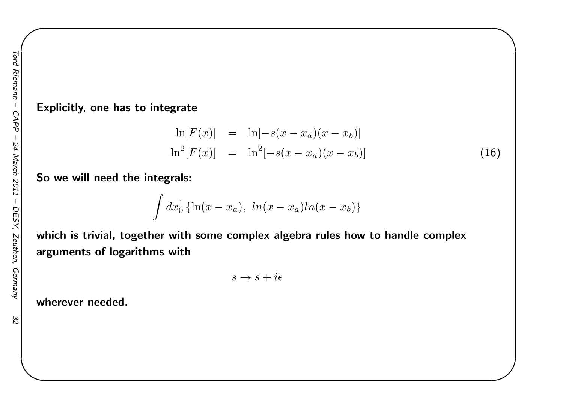#### Explicitly, one has to integrate

$$
\ln[F(x)] = \ln[-s(x - x_a)(x - x_b)]
$$
  

$$
\ln^2[F(x)] = \ln^2[-s(x - x_a)(x - x_b)]
$$
 (16)

✬

So we will need the integrals:

$$
\int dx_0^1\left\{\ln(x-x_a),\,\ln(x-x_a)ln(x-x_b)\right\}
$$

which is trivial, together with some complex algebra rules how to handle complex arguments of logarithms with

$$
s \to s + i\epsilon
$$

wherever needed.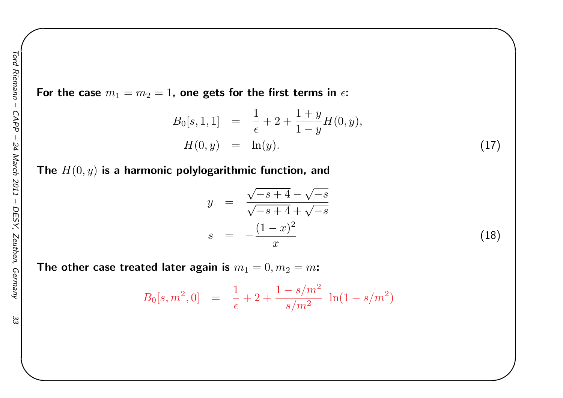33

For the case  $m_1=m_2=1$ , one gets for the first terms in  $\epsilon$ :

$$
B_0[s, 1, 1] = \frac{1}{\epsilon} + 2 + \frac{1+y}{1-y}H(0, y),
$$
  

$$
H(0, y) = \ln(y).
$$
 (17)

✬

The  $H(0, y)$  is a harmonic polylogarithmic function, and

$$
y = \frac{\sqrt{-s+4} - \sqrt{-s}}{\sqrt{-s+4} + \sqrt{-s}}
$$
  

$$
s = -\frac{(1-x)^2}{x}
$$
 (18)

The other case treated later again is  $m_1=0, m_2=m$ :

$$
B_0[s, m^2, 0] = \frac{1}{\epsilon} + 2 + \frac{1 - s/m^2}{s/m^2} \ln(1 - s/m^2)
$$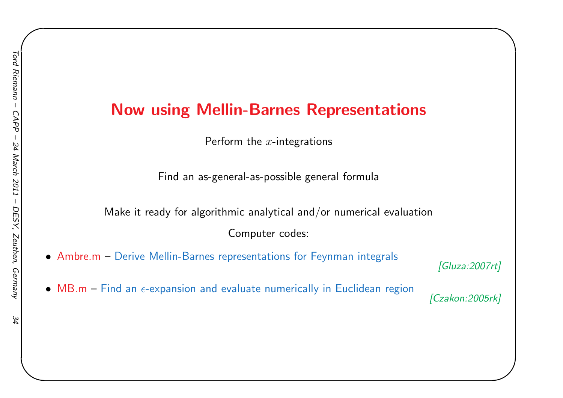## Now using Mellin-Barnes Representations

Perform the  $x\text{-}$ integrations

Find an as-general-as-possible genera<sup>l</sup> formula

Make it ready for algorithmic analytical and/or numerical evaluationComputer codes:

- Ambre.m– Derive Mellin-Barnes representations for Feynman integrals *[Gluza:2007rt]*
- $\bullet$  MB.m Find an  $\epsilon$ -expansion and evaluate numerically in Euclidean region

✬

*[Czakon:2005rk]*

34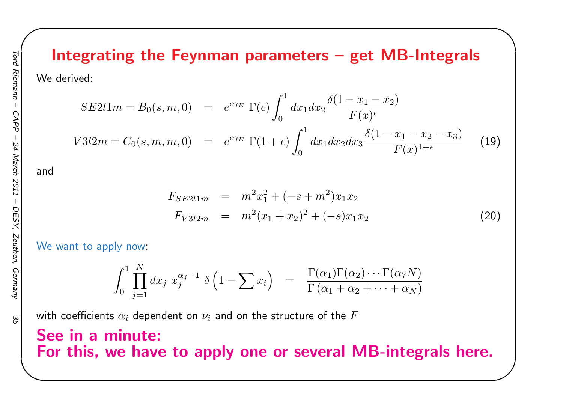# Integrating the Feynman parameters – get MB-Integrals

We derived:

$$
SE211m = B_0(s, m, 0) = e^{\epsilon \gamma_E} \Gamma(\epsilon) \int_0^1 dx_1 dx_2 \frac{\delta(1 - x_1 - x_2)}{F(x)^{\epsilon}}
$$
  

$$
V312m = C_0(s, m, m, 0) = e^{\epsilon \gamma_E} \Gamma(1 + \epsilon) \int_0^1 dx_1 dx_2 dx_3 \frac{\delta(1 - x_1 - x_2 - x_3)}{F(x)^{1 + \epsilon}} \tag{19}
$$

and

$$
F_{SE2l1m} = m^2 x_1^2 + (-s + m^2) x_1 x_2
$$
  
\n
$$
F_{V3l2m} = m^2 (x_1 + x_2)^2 + (-s) x_1 x_2
$$
\n(20)

✬

We want to apply now:

$$
\int_0^1 \prod_{j=1}^N dx_j x_j^{\alpha_j-1} \delta\left(1-\sum x_i\right) = \frac{\Gamma(\alpha_1)\Gamma(\alpha_2)\cdots\Gamma(\alpha_7 N)}{\Gamma(\alpha_1+\alpha_2+\cdots+\alpha_N)}
$$

with coefficients  $\alpha_i$  dependent on  $\nu_i$  and on the structure of the  $F$ 

### See in <sup>a</sup> minute: For this, we have to apply one or several MB-integrals here.

35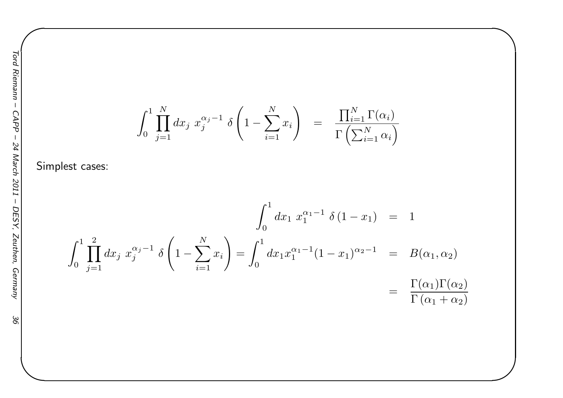$$
\int_0^1 \prod_{j=1}^N dx_j x_j^{\alpha_j - 1} \delta\left(1 - \sum_{i=1}^N x_i\right) = \frac{\prod_{i=1}^N \Gamma(\alpha_i)}{\Gamma\left(\sum_{i=1}^N \alpha_i\right)}
$$

✬

Simplest cases:

$$
\int_0^1 dx_1 x_1^{\alpha_1 - 1} \delta(1 - x_1) = 1
$$
  

$$
\int_0^1 dx_1 x_1^{\alpha_1 - 1} \delta(1 - x_1) = 1
$$
  

$$
\int_0^1 dx_1 x_1^{\alpha_1 - 1} (1 - x_1)^{\alpha_2 - 1} = B(\alpha_1, \alpha_2)
$$
  

$$
= \frac{\Gamma(\alpha_1) \Gamma(\alpha_2)}{\Gamma(\alpha_1 + \alpha_2)}
$$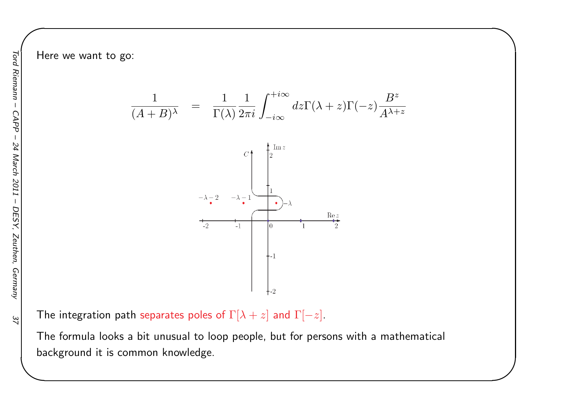Here we want to go:

$$
\frac{1}{(A+B)^{\lambda}} = \frac{1}{\Gamma(\lambda)} \frac{1}{2\pi i} \int_{-i\infty}^{+i\infty} dz \Gamma(\lambda + z) \Gamma(-z) \frac{B^z}{A^{\lambda + z}}
$$

✬

![](_page_36_Figure_3.jpeg)

The integration path separates poles of  $\Gamma[\lambda+z]$  and  $\Gamma[$  $-z$ ].

The formula looks <sup>a</sup> bit unusual to loop people, but for persons with <sup>a</sup> mathematical background it is common knowledge.

 $22$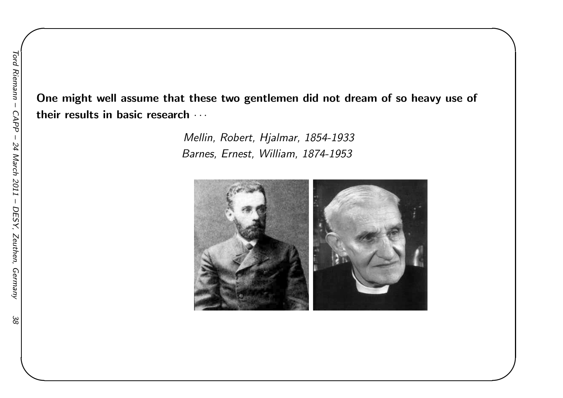38

One might well assume that these two gentlemen did not dream of so heavy use of their results in basic research  $\cdots$ 

> Mellin, Robert, Hjalmar, 1854-1933 Barnes, Ernest, William, 1874-1953

![](_page_37_Picture_3.jpeg)

✬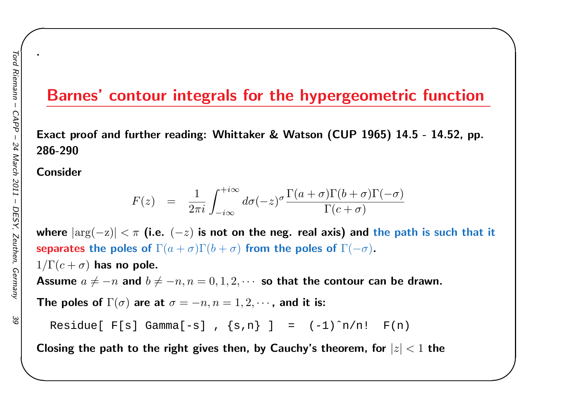### Barnes' contour integrals for the hypergeometric function

✬

Exact proof and further reading: Whittaker & Watson (CUP 1965) 14.5 - 14.52, pp. 286-290

Consider

.

$$
F(z) = \frac{1}{2\pi i} \int_{-i\infty}^{+i\infty} d\sigma(-z)^\sigma \frac{\Gamma(a+\sigma)\Gamma(b+\sigma)\Gamma(-\sigma)}{\Gamma(c+\sigma)}
$$

where  $|\text{arg}(-\mathrm{z})| < \pi$  (i.e.  $(-z)$  is not on the neg. real axis) and the path is such that it separates the poles of  $\Gamma(a+\sigma)\Gamma(b+\sigma)$  from the poles of  $\Gamma($  $-\sigma)$ .

 $1/\Gamma(c+\sigma)$  has no pole. Assume  $a\neq-n$  and  $b\neq-n, n=0, 1, 2, \cdots$  so that the contour can be drawn.

The poles of  $\Gamma(\sigma)$  are at  $\sigma=-n, n=1,2,\cdots$  , and it is:

Residue[  $F[s]$  Gamma[-s],  $\{s,n\}$ ] =  $(-1)^n/n!$   $F(n)$ 

Closing the path to the right gives then, by Cauchy's theorem, for  $\vert z \vert < 1$  the

Θg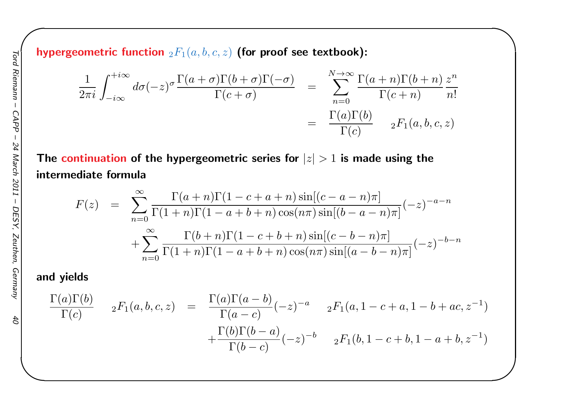hypergeometric function  $_2F_1(a, b, c, z)$  (for proof see textbook):

$$
\frac{1}{2\pi i} \int_{-i\infty}^{+i\infty} d\sigma(-z)^{\sigma} \frac{\Gamma(a+\sigma)\Gamma(b+\sigma)\Gamma(-\sigma)}{\Gamma(c+\sigma)} = \sum_{n=0}^{N\to\infty} \frac{\Gamma(a+n)\Gamma(b+n)}{\Gamma(c+n)} \frac{z^n}{n!}
$$

$$
= \frac{\Gamma(a)\Gamma(b)}{\Gamma(c)} \qquad {}_2F_1(a,b,c,z)
$$

✬

The continuation of the hypergeometric series for  $\vert z\vert>1$  is made using the intermediate formula

$$
F(z) = \sum_{n=0}^{\infty} \frac{\Gamma(a+n)\Gamma(1-c+a+n)\sin[(c-a-n)\pi]}{\Gamma(1+n)\Gamma(1-a+b+n)\cos(n\pi)\sin[(b-a-n)\pi]}(-z)^{-a-n} + \sum_{n=0}^{\infty} \frac{\Gamma(b+n)\Gamma(1-c+b+n)\sin[(c-b-n)\pi]}{\Gamma(1+n)\Gamma(1-a+b+n)\cos(n\pi)\sin[(a-b-n)\pi]}(-z)^{-b-n}
$$

#### and <sup>y</sup>ields

$$
\frac{\Gamma(a)\Gamma(b)}{\Gamma(c)} \quad 2F_1(a,b,c,z) = \frac{\Gamma(a)\Gamma(a-b)}{\Gamma(a-c)}(-z)^{-a} \quad 2F_1(a,1-c+a,1-b+ac,z^{-1})
$$

$$
+\frac{\Gamma(b)\Gamma(b-a)}{\Gamma(b-c)}(-z)^{-b} \quad 2F_1(b,1-c+b,1-a+b,z^{-1})
$$

 $\mathcal{L}$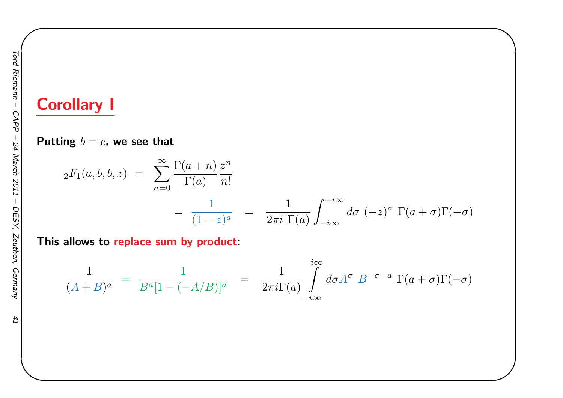# Corollary <sup>I</sup>

Putting  $b=c$ , we see that

$$
{}_2F_1(a,b,b,z) = \sum_{n=0}^{\infty} \frac{\Gamma(a+n)}{\Gamma(a)} \frac{z^n}{n!}
$$
  
= 
$$
\frac{1}{(1-z)^a} = \frac{1}{2\pi i} \int_{-i\infty}^{+i\infty} d\sigma \, (-z)^{\sigma} \, \Gamma(a+\sigma) \Gamma(-\sigma)
$$

✬

This allows to <mark>repl</mark>ace sum by product:

$$
\frac{1}{(A+B)^a} = \frac{1}{B^a[1 - (-A/B)]^a} = \frac{1}{2\pi i \Gamma(a)} \int_{-i\infty}^{i\infty} d\sigma A^{\sigma} B^{-\sigma-a} \Gamma(a+\sigma) \Gamma(-\sigma)
$$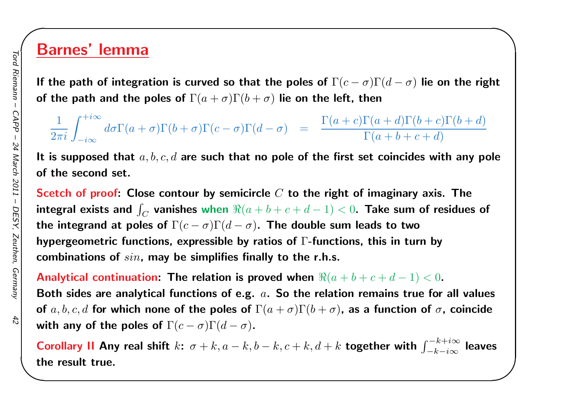### Barnes' lemma

If the path of integration is curved so that the poles of  $\Gamma(c-\sigma)\Gamma(d-\sigma)$  lie on the right of the path and the poles of  $\Gamma(a+\sigma)\Gamma(b+\sigma)$  lie on the left, then

✬

1 $\frac{1}{2\pi i}\int_{-i\infty}^{+i\infty}$  $-i\infty$  $d\sigma\Gamma(a$  $+ \sigma$ ) $\Gamma(b)$  $(b+\sigma)\Gamma(c)$  $\sigma$ ) $\Gamma(d$  $\sigma$ ) =  $\frac{\Gamma(a)}{a}$  $\, + \,$  $c)\Gamma(a$  $\, + \,$  $d) \Gamma(b$  $\frac{b+1}{b+1}$  $c) \Gamma(b$  $\frac{b+1}{b+1}$  $\frac{\Gamma(a+d)\Gamma(b+c)\Gamma(b+d)}{\Gamma(a+b+c+d)}$ 

It is supposed that  $a,b,c,d$  are such that no pole of the first set coincides with any pole of the second set.

Scetch of proof: Close contour by semicircle  $C$  to the right of imaginary axis. The integral exists and  $\int_C$  vanishes when  $\Re(a+$ the integrand at poles of  $\Gamma(c-\sigma)\Gamma(d-\sigma)$ . The double su  $\overline{C}$  vanishes when  $\Re(a+b+c+d (-1) < 0$ . Take sum of residues of hypergeometric functions, expressible by ratios of  $\Gamma$ -functions, this in turn by  $\sigma)$ . The double sum leads to two combinations of sin, may be simplifies finally to the r.h.s.

Analytical continuation: The relation is proved when  $\Re(a+b+c+d-\nabla)$ Both sides are analytical functions of e.g.  $\,a.\,$  So the relation remains true for all values  $(1) < 0.$ of  $a,b,c,d$  for which none of the poles of  $\Gamma(a+\sigma)\Gamma(b+\sigma)$ , as a function of  $\sigma$ , coincide with any of the poles of  $\Gamma(c-\sigma)\Gamma(d-\sigma)$ .

Corollary II Any real shift  $k$ :  $\sigma + k, a - k, b - k, c + k, d + k$  together with  $\int_{-l}^{-1}$ k $k+i\infty$  $-k{-}i\infty$  $\int_{\infty}^{\infty}$  leaves the result true.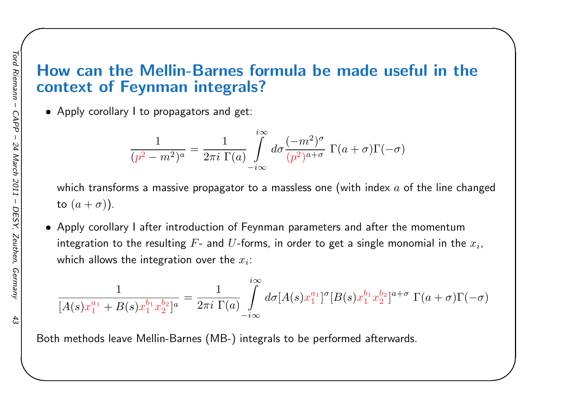### How can the Mellin-Barnes formula be made useful in thecontext of Feynman integrals?

✬

• Apply corollary <sup>I</sup> to propagators and get:

$$
\frac{1}{(p^2 - m^2)^a} = \frac{1}{2\pi i} \prod_{\substack{\mathfrak{r} \\ \mathfrak{r} \mid a}}^{i\infty} \int_{-i\infty}^{i\infty} d\sigma \frac{(-m^2)^{\sigma}}{(p^2)^{a+\sigma}} \Gamma(a+\sigma) \Gamma(-\sigma)
$$

which transforms a massive propagator to a massless one (with index  $a$  of the line changed to  $(a+\sigma)$ ).

• Apply corollary <sup>I</sup> after introduction of Feynman parameters and after the momentumintegration to the resulting  $F\text{-}$  and  $U\text{-}$ forms, in order to get a single monomial in the  $x_i$ , which allows the integration over the  $x_i$ :

$$
\frac{1}{[A(s)x_1^{a_1} + B(s)x_1^{b_1}x_2^{b_2}]^a} = \frac{1}{2\pi i \ \Gamma(a)} \int\limits_{-i\infty}^{i\infty} d\sigma [A(s)x_1^{a_1}]^{\sigma} [B(s)x_1^{b_1}x_2^{b_2}]^{a+\sigma} \ \Gamma(a+\sigma)\Gamma(-\sigma)
$$

Both methods leave Mellin-Barnes (MB-) integrals to be performed afterwards.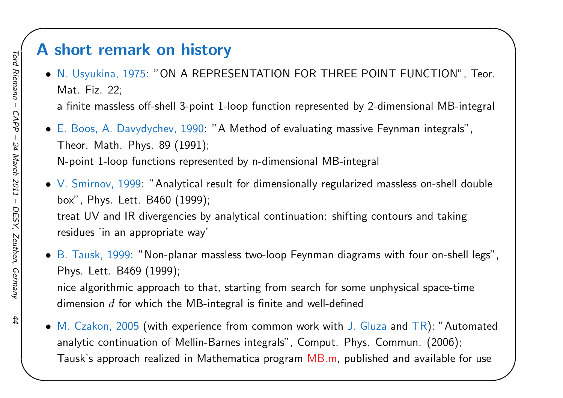### <sup>A</sup> short remark on history

• N. Usyukina, 1975: "ON <sup>A</sup> REPRESENTATION FOR THREE POINT FUNCTION", Teor. Mat. Fiz. 22;

<sup>a</sup> finite massless off-shell 3-point 1-loop function represented by 2-dimensional MB-integral

✬

• E. Boos, A. Davydychev, 1990: "A Method of evaluating massive Feynman integrals", Theor. Math. Phys. <sup>89</sup> (1991); N-point 1-loop functions represented by n-dimensional MB-integral

 $\bullet\,$  V. Smirnov,  $1999\!$ : "Analytical result for dimensionally regularized massless on-shell double box", Phys. Lett. B460 (1999); treat UV and IR divergencies by analytical continuation: shifting contours and taking residues 'in an appropriate way'

 $\bullet\,$  B. Tausk, 1999: "Non-planar massless two-loop Feynman diagrams with four on-shell legs", Phys. Lett. B469 (1999); nice algorithmic approach to that, starting from search for some unphysical space-time dimension  $d$  for which the MB-integral is finite and well-defined

• M. Czakon, <sup>2005</sup> (with experience from common work with J. Gluza and TR): "Automated analytic continuation of Mellin-Barnes integrals", Comput. Phys. Commun. (2006); Tausk's approach realized in Mathematica program MB.m, published and available for use

44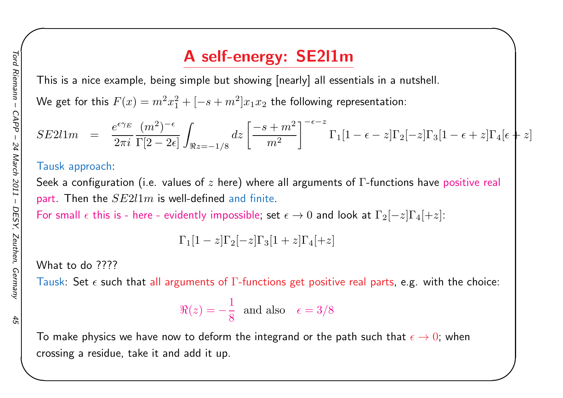# <sup>A</sup> self-energy: SE2l1m

This is <sup>a</sup> nice example, being simple but showing [nearly] all essentials in <sup>a</sup> nutshell.

We get for this  $F(x) = m^2x_1^2 + [ -s+m^2]x_1x_2$  the following representation:

$$
SE211m = \frac{e^{\epsilon \gamma_E}}{2\pi i} \frac{(m^2)^{-\epsilon}}{\Gamma[2-2\epsilon]} \int_{\Re z=-1/8} dz \left[ \frac{-s+m^2}{m^2} \right]^{-\epsilon-z} \Gamma_1[1-\epsilon-z] \Gamma_2[-z] \Gamma_3[1-\epsilon+z] \Gamma_4[\epsilon+z]
$$

✬

#### Tausk approach:

Seek a configuration (i.e. values of  $z$  here) where all arguments of  $\Gamma$ -functions have positive real part . Then the  $SE2l1m$ 

part. Then the  $SE2l1m$  is well-defined and finite.<br>For small  $\epsilon$  this is - here - evidently impossible, se  $\epsilon$  this is - here - evidently impossible; set  $\epsilon \to 0$  and look at  $\Gamma_2[-z] \Gamma_4[+z]$ :

$$
\Gamma_1[1-z]\Gamma_2[-z]\Gamma_3[1+z]\Gamma_4[+z]
$$

What to do ????

Tausk: Set  $\epsilon$  such that all arguments of  $\Gamma$ -functions get positive real parts, e.g. with the choice:

$$
\Re(z) = -\frac{1}{8} \text{ and also } \epsilon = 3/8
$$

To make physics we have now to deform the integrand or the path such that  $\epsilon\to 0$ ; when crossing <sup>a</sup> residue, take it and add it up.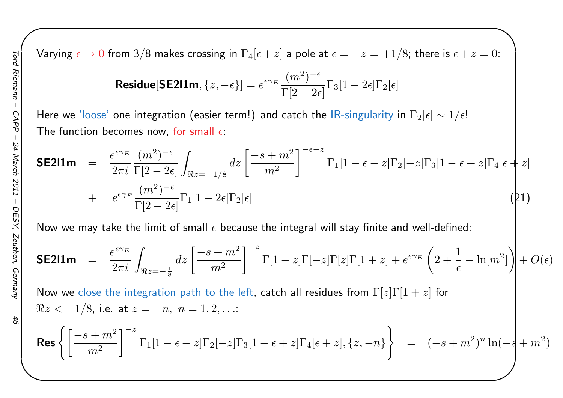Varying  $\epsilon \to 0$  from 3/8 makes crossing in  $\Gamma_4[\epsilon+z]$  a pole at  $\epsilon=-z=+1/8$ ; there is  $\epsilon+z=0$ :

✬

$$
\textbf{Residue}[\textbf{SE2l1m},\{z,-\epsilon\}] = e^{\epsilon \gamma_E} \frac{(m^2)^{-\epsilon}}{\Gamma[2-2\epsilon]} \Gamma_3[1-2\epsilon] \Gamma_2[\epsilon]
$$

Here we 'loose' one integration (easier term!) and catch the lR-singularity in  $\Gamma_2[\epsilon]\sim 1/\epsilon!$ The function becomes now, for small  $\epsilon$ :

$$
\mathsf{SE2I1m} = \frac{e^{\epsilon \gamma_E} (m^2)^{-\epsilon}}{2\pi i} \int_{\Re z = -1/8} dz \left[ \frac{-s + m^2}{m^2} \right]^{-\epsilon - z} \Gamma_1 [1 - \epsilon - z] \Gamma_2 [-z] \Gamma_3 [1 - \epsilon + z] \Gamma_4 [\epsilon + z] + e^{\epsilon \gamma_E} \frac{(m^2)^{-\epsilon}}{\Gamma[2 - 2\epsilon]} \Gamma_1 [1 - 2\epsilon] \Gamma_2 [\epsilon]
$$
\n(21)

Now we may take the limit of small  $\epsilon$  because the integral will stay finite and well-defined:

**SE211m** = 
$$
\frac{e^{\epsilon \gamma_E}}{2\pi i} \int_{\Re z = -\frac{1}{8}} dz \left[ \frac{-s + m^2}{m^2} \right]^{-z} \Gamma[1 - z] \Gamma[-z] \Gamma[z] \Gamma[1 + z] + e^{\epsilon \gamma_E} \left( 2 + \frac{1}{\epsilon} - \ln[m^2] \right) + O(\epsilon)
$$

Now we close the integration path to the left, catch all residues from  $\Gamma[z] \Gamma[1+z]$  for  $\Re z < -1/8$ , i.e. at  $z = -n, n = 1, 2, ...$ 

$$
\text{Res}\left\{ \left[ \frac{-s+m^2}{m^2} \right]^{-z} \Gamma_1[1-\epsilon-z] \Gamma_2[-z] \Gamma_3[1-\epsilon+z] \Gamma_4[\epsilon+z], \{z,-n\} \right\} = (-s+m^2)^n \ln(-s+m^2)
$$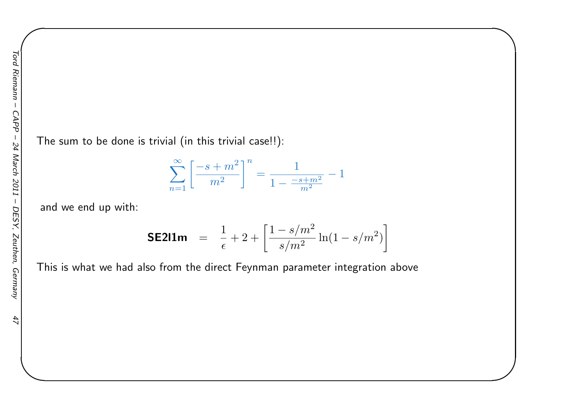$47$ 

The sum to be done is trivial (in this trivial case!!):

$$
\sum_{n=1}^{\infty} \left[ \frac{-s+m^2}{m^2} \right]^n = \frac{1}{1 - \frac{-s+m^2}{m^2}} - 1
$$

✬

and we end up with:

**SE211m** = 
$$
\frac{1}{\epsilon} + 2 + \left[ \frac{1 - s/m^2}{s/m^2} \ln(1 - s/m^2) \right]
$$

This is what we had also from the direct Feynman parameter integration above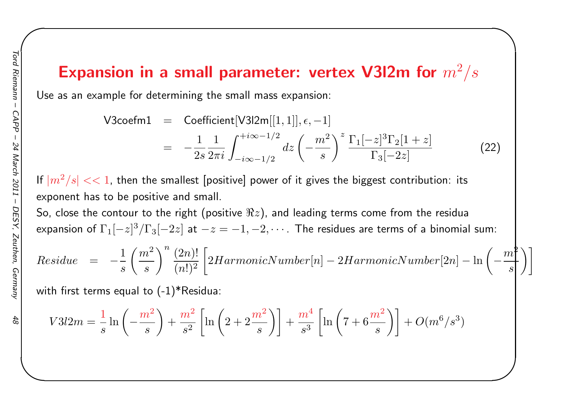# Expansion in a small parameter: vertex V3I2m for  $m^2/s$

Use as an example for determining the small mass expansion:

V3coefm1 = Coefficient[V3l2m[[1, 1]], 
$$
\epsilon
$$
, -1]  
= 
$$
-\frac{1}{2s} \frac{1}{2\pi i} \int_{-i\infty - 1/2}^{+i\infty - 1/2} dz \left( -\frac{m^2}{s} \right)^z \frac{\Gamma_1[-z]^3 \Gamma_2[1+z]}{\Gamma_3[-2z]}
$$
(22)

✬

If  $|m^2/s| << 1$ , then the smallest [positive] power of it gives the biggest contribution: its exponent has to be positive and small.

So, close the contour to the right (positive  $\Re z)$ , and leading terms come from the residua expansion of  $\Gamma_{1}[-z]^{3}/\Gamma_{3}[-2z]$  at  $-z=-1,-2,\cdots$  . The residues are terms of a binomial sum:

$$
Residue \quad = \quad - \frac{1}{s} \left(\frac{m^2}{s}\right)^n \frac{(2n)!}{(n!)^2} \left[ 2HarmonicNumber[n] - 2HarmonicNumber[2n] - \ln\left(-\frac{m^2}{s}\right) \right]
$$

with first terms equal to  $(-1)^*$ Residua:

$$
V3l2m = \frac{1}{s}\ln\left(-\frac{m^2}{s}\right) + \frac{m^2}{s^2}\left[\ln\left(2 + 2\frac{m^2}{s}\right)\right] + \frac{m^4}{s^3}\left[\ln\left(7 + 6\frac{m^2}{s}\right)\right] + O(m^6/s^3)
$$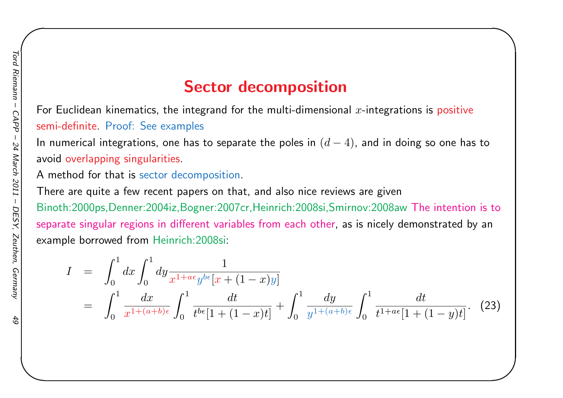### Sector decomposition

✬

For Euclidean kinematics, the integrand for the multi-dimensional  $x$ -integrations is <mark>posit</mark>ive semi-definite. Proof: See examples

In numerical integrations, one has to separate the poles in  $\left(d\right)$  $(-4)$ , and in doing so one has to avoid overlapping singularities.

<sup>A</sup> method for that is sector decomposition.

There are quite <sup>a</sup> few recent papers on that, and also nice reviews are <sup>g</sup>ivenBinoth:2000ps,Denner:2004iz,Bogner:2007cr,Heinrich:2008si,Smirnov:2008aw The intention is to separate singular regions in different variables from each other, as is nicely demonstrated by anexample borrowed from Heinrich:2008si:

$$
I = \int_0^1 dx \int_0^1 dy \frac{1}{x^{1+a\epsilon}y^{b\epsilon}[x+(1-x)y]} = \int_0^1 \frac{dx}{x^{1+(a+b)\epsilon}} \int_0^1 \frac{dt}{t^{b\epsilon}[1+(1-x)t]} + \int_0^1 \frac{dy}{y^{1+(a+b)\epsilon}} \int_0^1 \frac{dt}{t^{1+a\epsilon}[1+(1-y)t]}.
$$
 (23)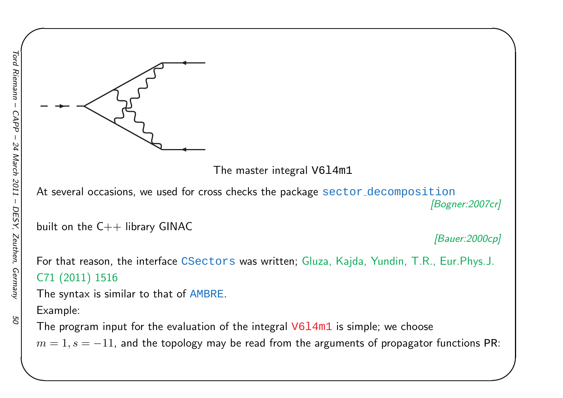![](_page_49_Figure_1.jpeg)

At several occasions, we used for cross checks the package  $\texttt{sector-decomposition}$ *[Bogner:2007cr]*

built on the C++ library GINAC

*[Bauer:2000cp]*

✬

For that reason, the interface CSectors was written; Gluza, Kajda, Yundin, T.R., Eur.Phys.J. C71 (2011) <sup>1516</sup>

The syntax is similar to that of AMBRE.

Example:

The program input for the evaluation of the integral  $\mathtt{V6l4m1}$  is simple; we choose  $m=1, s=-11$ , and the topology may be read from the arguments of propagator functions PR: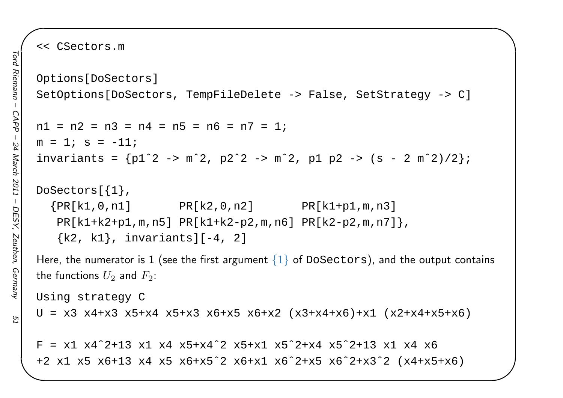ГS

<< CSectors.m

```
Options[DoSectors]SetOptions[DoSectors, TempFileDelete -> False, SetStrategy -> C]
nl = n2 = n3 = n4 = n5 = n6 = n7 = 1;
m = 1; s = -11;
invariants = {p1ˆ2 -> mˆ2, p2ˆ2 -> mˆ2, p1 p2 -> (s - 2 mˆ2)/2};
DoSectors[{1},{PR[k1, 0, n1]} PR[k2, 0, n2] PR[k1 + p1, m, n3]PR[k1+k2+p1,m,n5] PR[k1+k2-p2,m,n6] PR[k2-p2,m,n7]},
   \{k2, k1\}, invariants][-4, 2]
Here, the numerator is 1 (see the first argument \{1\} of <code>DoSectors</code>), and the output contains
the functions U_2 and F_2:
Using strategy C
U = x3 x4+x3 x5+x4 x5+x3 x6+x5 x6+x2 (x3+x4+x6)+x1 (x2+x4+x5+x6)F = x1 x4^2+13 x1 x4 x5+x4^2 x5+x1 x5^2+x4 x5^2+x4 x5^2
```
+2 x1 x5 x6+13 x4 x5 x6+x5ˆ2 x6+x1 x6ˆ2+x5 x6ˆ2+x3ˆ2 (x4+x5+x6)

✬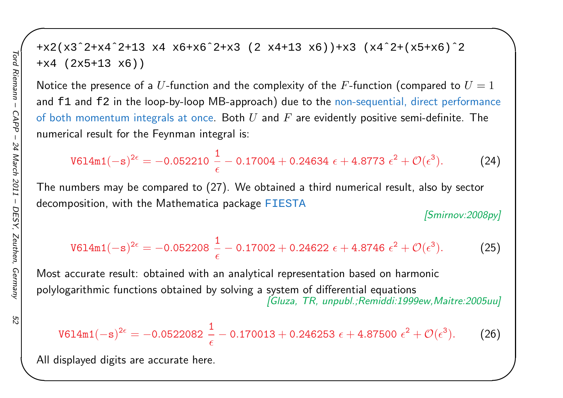$52$ 

```
+x2(x3ˆ2+x4ˆ2+13 x4 x6+x6ˆ2+x3 (2 x4+13 x6))+x3 (x4ˆ2+(x5+x6)ˆ2
+x4 (2x5+13 x6))
```
Notice the presence of a  $U$ -function and the complexity of the  $F$ -function (compared to  $U=1$ and <code>f1</code> and <code>f2</code> in the loop-by-loop MB-approach) due to the non-sequential, direct performance of both momentum integrals at once. Both  $U$  and  $F$  are evidently positive semi-definite. The numerical result for the Feynman integral is:

$$
\text{V614m1}(-s)^{2\epsilon} = -0.052210\ \frac{1}{\epsilon} - 0.17004 + 0.24634\ \epsilon + 4.8773\ \epsilon^2 + \mathcal{O}(\epsilon^3). \tag{24}
$$

The numbers may be compared to (27). We obtained <sup>a</sup> third numerical result, also by sector decomposition, with the Mathematica package FIESTA

*[Smirnov:2008py]*

✬

$$
\text{V614m1}(-s)^{2\epsilon} = -0.052208 \frac{1}{\epsilon} - 0.17002 + 0.24622 \epsilon + 4.8746 \epsilon^2 + \mathcal{O}(\epsilon^3). \tag{25}
$$

Most accurate result: obtained with an analytical representation based on harmonic polylogarithmic functions obtained by solving <sup>a</sup> system of differential equations *[Gluza, TR, unpubl.;Remiddi:1999ew,Maitre:2005uu]*

$$
\text{V614m1}(-s)^{2\epsilon} = -0.0522082\ \frac{1}{\epsilon} - 0.170013 + 0.246253\ \epsilon + 4.87500\ \epsilon^2 + \mathcal{O}(\epsilon^3). \tag{26}
$$

All displayed digits are accurate here.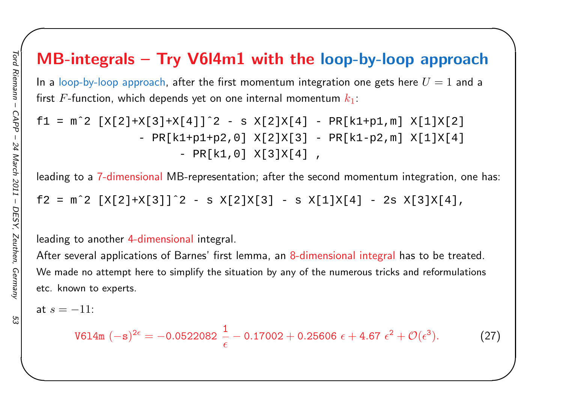# MB-integrals – Try V6l4m1 with the loop-by-loop approach

✬

In a loop-by-loop approach, after the first momentum integration one gets here  $U=1$  and a first  $F$ -function, which depends yet on one internal momentum  $k_1\!\!$  :

```
f1 = m^2 [X[2]+X[3]+X[4]]<sup>2 - s</sup> X[2]X[4] - PR[k1+p1,m] X[1]X[2]
                - PR[k1+p1+p2,0] X[2]X[3] - PR[k1-p2,m] X[1]X[4]
                       - PR[k1,0] X[3]X[4] ,
```
leading to <sup>a</sup> 7-dimensional MB-representation; after the second momentum integration, one has:

f2 = m^2  $[X[2]+X[3]]$ ^2 - s  $X[2]X[3]$  - s  $X[1]X[4]$  - 2s  $X[3]X[4]$ ,

#### leading to another 4-dimensional integral.

After several applications of Barnes' first lemma, an 8-dimensional integral has to be treated. We made no attempt here to simplify the situation by any of the numerous tricks and reformulations etc. known to experts.

at  $s=-11:$ 

$$
\text{V614m }(-\text{s})^{2\epsilon} = -0.0522082 \frac{1}{\epsilon} - 0.17002 + 0.25606 \epsilon + 4.67 \epsilon^2 + \mathcal{O}(\epsilon^3). \tag{27}
$$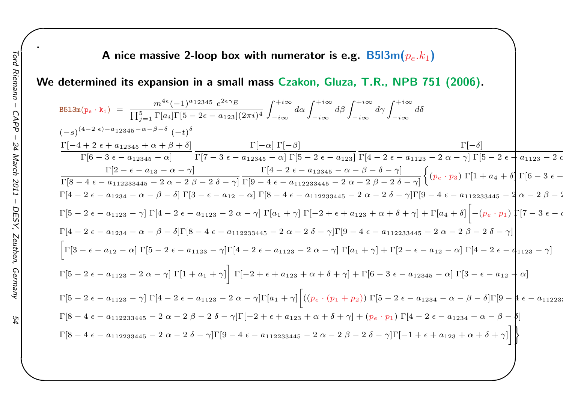#### A nice massive 2-loop box with numerator is e.g.  $\mathsf{B5l3m}(p_e.k_1)$

We determined its expansion in a small mass Czakon, Gluza, T.R., NPB 751 (2006).

$$
B513m(p_e \cdot k_1) = \frac{m^{4\epsilon}(-1)^{a_{12345}}}{\prod_{j=1}^{5} \prod_{i=1}^{5} \prod_{i=1}^{5} [3 - 2\epsilon - a_{123}] (2\pi i)^4} \int_{-i\infty}^{+i\infty} d\alpha \int_{-i\infty}^{+i\infty} d\beta \int_{-i\infty}^{+i\infty} d\delta
$$
\n
$$
(-s)^{(4-2\epsilon)-a_{12345}-\alpha-\beta-\delta} (-t)^{\delta}
$$
\n
$$
\frac{\Gamma[-\alpha]\Gamma[-\beta]}{\Gamma[\beta-3\epsilon-a_{12345}-\alpha]} \frac{\Gamma[-\alpha]\Gamma[-\beta]}{\Gamma[7-3\epsilon-a_{12345}-\alpha] \Gamma[7-3\epsilon-a_{12345}-\alpha] \Gamma[5-2\epsilon-a_{123}] \Gamma[4-2\epsilon-a_{1123}-2\alpha-\gamma] \Gamma[5-2\epsilon-a_{1123}-2\alpha-\gamma]}{\Gamma[8-4\epsilon-a_{112233445}-2\alpha-2\beta-2\delta-\gamma]} \frac{\Gamma[4-2\epsilon-a_{12345}-\alpha-\beta-\delta-\gamma]}{\Gamma[9-4\epsilon-a_{112233445}-2\alpha-2\beta-2\delta-\gamma]} \left\{ (p_e \cdot p_3) \Gamma[1+a_4+\delta] \Gamma[6-3\epsilon-\gamma] \Gamma[3-\epsilon-a_{1234}-\alpha-\beta-\delta] \Gamma[3-\epsilon-a_{122}-\alpha] \Gamma[8-4\epsilon-a_{112233445}-2\alpha-2\beta-2\delta-\gamma] \Gamma[9-4\epsilon-a_{112233445}-2\alpha-\beta-\gamma] \Gamma[9-4\epsilon-a_{112233445}-2\alpha-\beta-\gamma] \Gamma[5-2\epsilon-a_{1234}-\alpha-\beta-\delta] \Gamma[3-\epsilon-a_{122}-\alpha] \Gamma[8-4\epsilon-a_{112233445}-2\alpha-2\delta-\gamma] \Gamma[9-4\epsilon-a_{112233445}-2\alpha-2\beta-\gamma] \Gamma[7-3\epsilon-\alpha-\gamma] \Gamma[7-3\epsilon-\alpha-\gamma] \Gamma[7-3\epsilon-\alpha-\gamma] \Gamma[8-2\epsilon-a_{1123}-\gamma] \Gamma[4-2\epsilon-a_{1123}-2\alpha
$$

✬

.